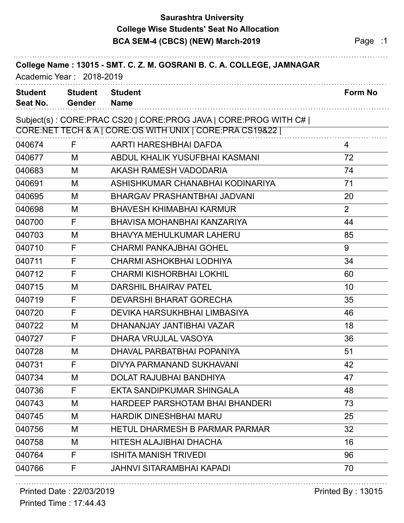# **Saurashtra University BCA SEM-4 (CBCS) (NEW) March-2019 Page :1 College Wise Students' Seat No Allocation**

| College Name: 13015 - SMT. C. Z. M. GOSRANI B. C. A. COLLEGE, JAMNAGAR<br>Academic Year: 2018-2019 |                                 |                                                                                                                               |                |
|----------------------------------------------------------------------------------------------------|---------------------------------|-------------------------------------------------------------------------------------------------------------------------------|----------------|
| <b>Student</b><br>Seat No.                                                                         | <b>Student</b><br><b>Gender</b> | <b>Student</b><br><b>Name</b>                                                                                                 | <b>Form No</b> |
|                                                                                                    |                                 | Subject(s): CORE:PRAC CS20   CORE:PROG JAVA   CORE:PROG WITH C#  <br>CORE:NET TECH & A   CORE:OS WITH UNIX   CORE:PRA CS19&22 |                |
| 040674                                                                                             | F                               | AARTI HARESHBHAI DAFDA                                                                                                        | 4              |
| 040677                                                                                             | м                               | ABDUL KHALIK YUSUFBHAI KASMANI                                                                                                | 72             |
| 040683                                                                                             | M                               | AKASH RAMESH VADODARIA                                                                                                        | 74             |
| 040691                                                                                             | M                               | ASHISHKUMAR CHANABHAI KODINARIYA                                                                                              | 71             |
| 040695                                                                                             | M                               | BHARGAV PRASHANTBHAI JADVANI                                                                                                  | 20             |
| 040698                                                                                             | M                               | <b>BHAVESH KHIMABHAI KARMUR</b>                                                                                               | $\overline{2}$ |
| 040700                                                                                             | F                               | BHAVISA MOHANBHAI KANZARIYA                                                                                                   | 44             |
| 040703                                                                                             | M                               | <b>BHAVYA MEHULKUMAR LAHERU</b>                                                                                               | 85             |
| 040710                                                                                             | F                               | <b>CHARMI PANKAJBHAI GOHEL</b>                                                                                                | 9              |
| 040711                                                                                             | F                               | CHARMI ASHOKBHAI LODHIYA                                                                                                      | 34             |
| 040712                                                                                             | F                               | <b>CHARMI KISHORBHAI LOKHIL</b>                                                                                               | 60             |
| 040715                                                                                             | M                               | <b>DARSHIL BHAIRAV PATEL</b>                                                                                                  | 10             |
| 040719                                                                                             | F                               | <b>DEVARSHI BHARAT GORECHA</b>                                                                                                | 35             |
| 040720                                                                                             | F                               | DEVIKA HARSUKHBHAI LIMBASIYA                                                                                                  | 46             |
| 040722                                                                                             | M                               | DHANANJAY JANTIBHAI VAZAR                                                                                                     | 18             |
| 040727                                                                                             | F                               | DHARA VRUJLAL VASOYA                                                                                                          | 36             |
| 040728                                                                                             | M                               | DHAVAL PARBATBHAI POPANIYA                                                                                                    | 51             |
| 040731                                                                                             | F                               | DIVYA PARMANAND SUKHAVANI                                                                                                     | 42             |
| 040734                                                                                             | M                               | <b>DOLAT RAJUBHAI BANDHIYA</b>                                                                                                | 47             |
| 040736                                                                                             | F                               | EKTA SANDIPKUMAR SHINGALA                                                                                                     | 48             |
| 040743                                                                                             | M                               | <b>HARDEEP PARSHOTAM BHAI BHANDERI</b>                                                                                        | 73             |
| 040745                                                                                             | M                               | <b>HARDIK DINESHBHAI MARU</b>                                                                                                 | 25             |
| 040756                                                                                             | M                               | <b>HETUL DHARMESH B PARMAR PARMAR</b>                                                                                         | 32             |
| 040758                                                                                             | M                               | HITESH ALAJIBHAI DHACHA                                                                                                       | 16             |
| 040764                                                                                             | F                               | <b>ISHITA MANISH TRIVEDI</b>                                                                                                  | 96             |
| 040766                                                                                             | F                               | <b>JAHNVI SITARAMBHAI KAPADI</b>                                                                                              | 70             |

. . . . . . . . . . . . . . . . . . . .

### Printed Date : 22/03/2019 **Printed By : 13015**

Printed Time : 17:44.43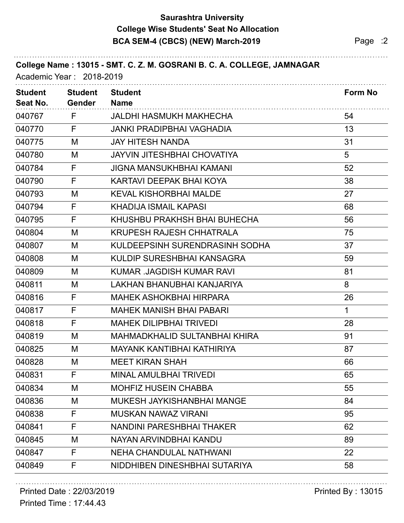# **Saurashtra University BCA SEM-4 (CBCS) (NEW) March-2019 Page :2 College Wise Students' Seat No Allocation**

| Academic Year: 2018-2019   |                                 | College Name: 13015 - SMT. C. Z. M. GOSRANI B. C. A. COLLEGE, JAMNAGAR |                |
|----------------------------|---------------------------------|------------------------------------------------------------------------|----------------|
| <b>Student</b><br>Seat No. | <b>Student</b><br><b>Gender</b> | <b>Student</b><br><b>Name</b>                                          | <b>Form No</b> |
| 040767                     | F                               | JALDHI HASMUKH MAKHECHA                                                | 54             |
| 040770                     | F                               | <b>JANKI PRADIPBHAI VAGHADIA</b>                                       | 13             |
| 040775                     | M                               | <b>JAY HITESH NANDA</b>                                                | 31             |
| 040780                     | M                               | <b>JAYVIN JITESHBHAI CHOVATIYA</b>                                     | 5              |
| 040784                     | F                               | <b>JIGNA MANSUKHBHAI KAMANI</b>                                        | 52             |
| 040790                     | F                               | KARTAVI DEEPAK BHAI KOYA                                               | 38             |
| 040793                     | M                               | <b>KEVAL KISHORBHAI MALDE</b>                                          | 27             |
| 040794                     | F                               | <b>KHADIJA ISMAIL KAPASI</b>                                           | 68             |
| 040795                     | F                               | KHUSHBU PRAKHSH BHAI BUHECHA                                           | 56             |
| 040804                     | M                               | <b>KRUPESH RAJESH CHHATRALA</b>                                        | 75             |
| 040807                     | M                               | KULDEEPSINH SURENDRASINH SODHA                                         | 37             |
| 040808                     | M                               | KULDIP SURESHBHAI KANSAGRA                                             | 59             |
| 040809                     | M                               | KUMAR .JAGDISH KUMAR RAVI                                              | 81             |
| 040811                     | M                               | LAKHAN BHANUBHAI KANJARIYA                                             | 8              |
| 040816                     | F                               | <b>MAHEK ASHOKBHAI HIRPARA</b>                                         | 26             |
| 040817                     | F                               | <b>MAHEK MANISH BHAI PABARI</b>                                        | 1              |
| 040818                     | F                               | <b>MAHEK DILIPBHAI TRIVEDI</b>                                         | 28             |
| 040819                     | M                               | <b>MAHMADKHALID SULTANBHAI KHIRA</b>                                   | 91             |
| 040825                     | М                               | <b>MAYANK KANTIBHAI KATHIRIYA</b>                                      | 87             |
| 040828                     | M                               | <b>MEET KIRAN SHAH</b>                                                 | 66             |
| 040831                     | F                               | <b>MINAL AMULBHAI TRIVEDI</b>                                          | 65             |
| 040834                     | M                               | <b>MOHFIZ HUSEIN CHABBA</b>                                            | 55             |
| 040836                     | M                               | MUKESH JAYKISHANBHAI MANGE                                             | 84             |
| 040838                     | F                               | <b>MUSKAN NAWAZ VIRANI</b>                                             | 95             |
| 040841                     | F                               | <b>NANDINI PARESHBHAI THAKER</b>                                       | 62             |
| 040845                     | M                               | NAYAN ARVINDBHAI KANDU                                                 | 89             |
| 040847                     | F                               | <b>NEHA CHANDULAL NATHWANI</b>                                         | 22             |
| 040849                     | F                               | NIDDHIBEN DINESHBHAI SUTARIYA                                          | 58             |

. . . . . . . . . . . . . . . . . . . .

# Printed Date : 22/03/2019 **Printed By : 13015**

Printed Time : 17:44.43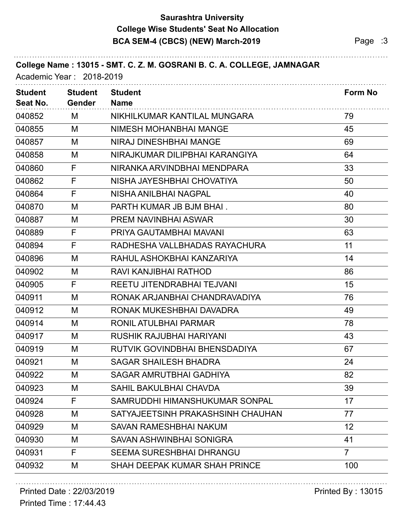## **Saurashtra University BCA SEM-4 (CBCS) (NEW) March-2019 Page :3 College Wise Students' Seat No Allocation**

| College Name: 13015 - SMT. C. Z. M. GOSRANI B. C. A. COLLEGE, JAMNAGAR<br>Academic Year: 2018-2019 |                                 |                                      |                 |  |
|----------------------------------------------------------------------------------------------------|---------------------------------|--------------------------------------|-----------------|--|
| <b>Student</b><br>Seat No.                                                                         | <b>Student</b><br><b>Gender</b> | <b>Student</b><br><b>Name</b>        | <b>Form No</b>  |  |
| 040852                                                                                             | M                               | NIKHILKUMAR KANTILAL MUNGARA         | 79              |  |
| 040855                                                                                             | M                               | <b>NIMESH MOHANBHAI MANGE</b>        | 45              |  |
| 040857                                                                                             | M                               | <b>NIRAJ DINESHBHAI MANGE</b>        | 69              |  |
| 040858                                                                                             | M                               | NIRAJKUMAR DILIPBHAI KARANGIYA       | 64              |  |
| 040860                                                                                             | F                               | NIRANKA ARVINDBHAI MENDPARA          | 33              |  |
| 040862                                                                                             | F                               | NISHA JAYESHBHAI CHOVATIYA           | 50              |  |
| 040864                                                                                             | F                               | NISHA ANILBHAI NAGPAL                | 40              |  |
| 040870                                                                                             | M                               | PARTH KUMAR JB BJM BHAI.             | 80              |  |
| 040887                                                                                             | M                               | PREM NAVINBHAI ASWAR                 | 30              |  |
| 040889                                                                                             | F                               | PRIYA GAUTAMBHAI MAVANI              | 63              |  |
| 040894                                                                                             | F                               | RADHESHA VALLBHADAS RAYACHURA        | 11              |  |
| 040896                                                                                             | M                               | RAHUL ASHOKBHAI KANZARIYA            | 14              |  |
| 040902                                                                                             | M                               | RAVI KANJIBHAI RATHOD                | 86              |  |
| 040905                                                                                             | F                               | REETU JITENDRABHAI TEJVANI           | 15              |  |
| 040911                                                                                             | M                               | RONAK ARJANBHAI CHANDRAVADIYA        | 76              |  |
| 040912                                                                                             | M                               | RONAK MUKESHBHAI DAVADRA             | 49              |  |
| 040914                                                                                             | M                               | RONIL ATULBHAI PARMAR                | 78              |  |
| 040917                                                                                             | M                               | RUSHIK RAJUBHAI HARIYANI             | 43              |  |
| 040919                                                                                             | M                               | RUTVIK GOVINDBHAI BHENSDADIYA        | 67              |  |
| 040921                                                                                             | M                               | <b>SAGAR SHAILESH BHADRA</b>         | 24              |  |
| 040922                                                                                             | M                               | <b>SAGAR AMRUTBHAI GADHIYA</b>       | 82              |  |
| 040923                                                                                             | M                               | <b>SAHIL BAKULBHAI CHAVDA</b>        | 39              |  |
| 040924                                                                                             | F                               | SAMRUDDHI HIMANSHUKUMAR SONPAL       | 17              |  |
| 040928                                                                                             | M                               | SATYAJEETSINH PRAKASHSINH CHAUHAN    | 77              |  |
| 040929                                                                                             | M                               | <b>SAVAN RAMESHBHAI NAKUM</b>        | 12 <sup>2</sup> |  |
| 040930                                                                                             | M                               | SAVAN ASHWINBHAI SONIGRA             | 41              |  |
| 040931                                                                                             | F                               | <b>SEEMA SURESHBHAI DHRANGU</b>      | $\overline{7}$  |  |
| 040932                                                                                             | М                               | <b>SHAH DEEPAK KUMAR SHAH PRINCE</b> | 100             |  |

. . . . . . . . . . . . . . . . . . . .

### Printed Date : 22/03/2019 **Printed By : 13015**

Printed Time : 17:44.43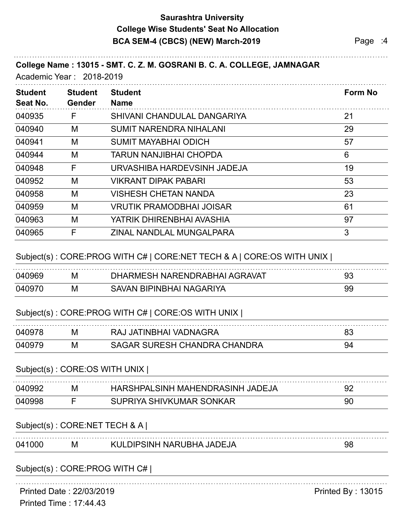### **Saurashtra University BCA SEM-4 (CBCS) (NEW) March-2019 Page :4 College Wise Students' Seat No Allocation**

### **College Name : 13015 - SMT. C. Z. M. GOSRANI B. C. A. COLLEGE, JAMNAGAR**

Academic Year : 2018-2019

| <b>Student</b><br>Seat No. | <b>Student</b><br>Gender | <b>Student</b><br><b>Name</b>   | <b>Form No</b> |
|----------------------------|--------------------------|---------------------------------|----------------|
| 040935                     | F                        | SHIVANI CHANDULAL DANGARIYA     | 21             |
| 040940                     | M                        | <b>SUMIT NARENDRA NIHALANI</b>  | 29             |
| 040941                     | M                        | <b>SUMIT MAYABHAI ODICH</b>     | 57             |
| 040944                     | M                        | TARUN NANJIBHAI CHOPDA          | 6              |
| 040948                     | F                        | URVASHIBA HARDEVSINH JADEJA     | 19             |
| 040952                     | M                        | <b>VIKRANT DIPAK PABARI</b>     | 53             |
| 040958                     | M                        | <b>VISHESH CHETAN NANDA</b>     | 23             |
| 040959                     | M                        | <b>VRUTIK PRAMODBHAI JOISAR</b> | 61             |
| 040963                     | M                        | YATRIK DHIRENBHAI AVASHIA       | 97             |
| 040965                     | F                        | ZINAL NANDLAL MUNGALPARA        | 3              |

#### Subject(s) : CORE:PROG WITH C# | CORE:NET TECH & A | CORE:OS WITH UNIX |

| 040969 | М | DHARMESH NARENDRABHAI AGRAVAT | 93 |
|--------|---|-------------------------------|----|
| 040970 | М | SAVAN BIPINBHAI NAGARIYA      | 99 |

### Subject(s) : CORE:PROG WITH C# | CORE:OS WITH UNIX |

| 040978 | м | RAJ JATINBHAI VADNAGRA       |  |
|--------|---|------------------------------|--|
| 040979 | М | SAGAR SURESH CHANDRA CHANDRA |  |

#### Subject(s) : CORE:OS WITH UNIX |

| 040992 | М | HARSHPALSINH MAHENDRASINH JADEJA |    |
|--------|---|----------------------------------|----|
| 040998 |   | SUPRIYA SHIVKUMAR SONKAR         | 90 |

#### Subject(s) : CORE:NET TECH & A |

| 041 | ΙVΙ | KULDIPSINH NARUBHA JADEJA |  |
|-----|-----|---------------------------|--|

### Subject(s) : CORE:PROG WITH C# |

Printed Date : 22/03/2019 **Printed By : 13015**